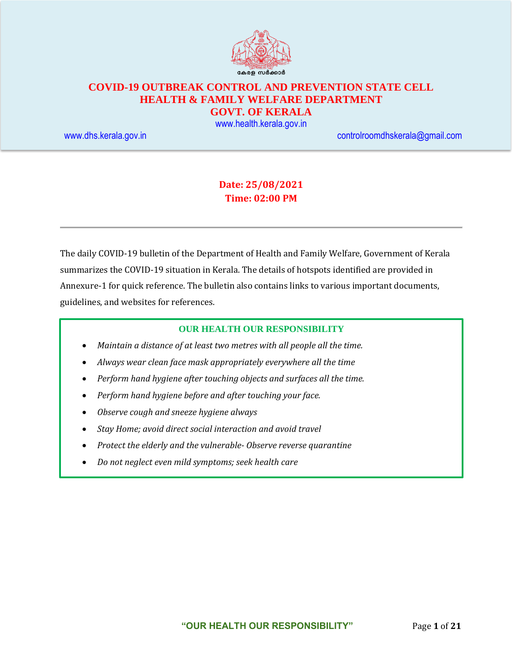

# **COVID-19 OUTBREAK CONTROL AND PREVENTION STATE CELL HEALTH & FAMILY WELFARE DEPARTMENT**

**GOVT. OF KERALA**

[www.health.kerala.gov.in](file:///D:/My%20Documents/Mahesh%20-%20Dont%20Delete/Assistant%20Surgeon/Aardram%20Mission/Projects/COVID%20Control%20Room/Bulletin%20Format%20New/www.health.kerala.gov.in)

[www.dhs.kerala.gov.in](http://www.dhs.kerala.gov.in/) [controlroomdhskerala@gmail.com](mailto:controlroomdhskerala@gmail.com)

## **Date: 25/08/2021 Time: 02:00 PM**

The daily COVID-19 bulletin of the Department of Health and Family Welfare, Government of Kerala summarizes the COVID-19 situation in Kerala. The details of hotspots identified are provided in Annexure-1 for quick reference. The bulletin also contains links to various important documents, guidelines, and websites for references.

#### **OUR HEALTH OUR RESPONSIBILITY**

- *Maintain a distance of at least two metres with all people all the time.*
- *Always wear clean face mask appropriately everywhere all the time*
- *Perform hand hygiene after touching objects and surfaces all the time.*
- *Perform hand hygiene before and after touching your face.*
- *Observe cough and sneeze hygiene always*
- *Stay Home; avoid direct social interaction and avoid travel*
- *Protect the elderly and the vulnerable- Observe reverse quarantine*
- *Do not neglect even mild symptoms; seek health care*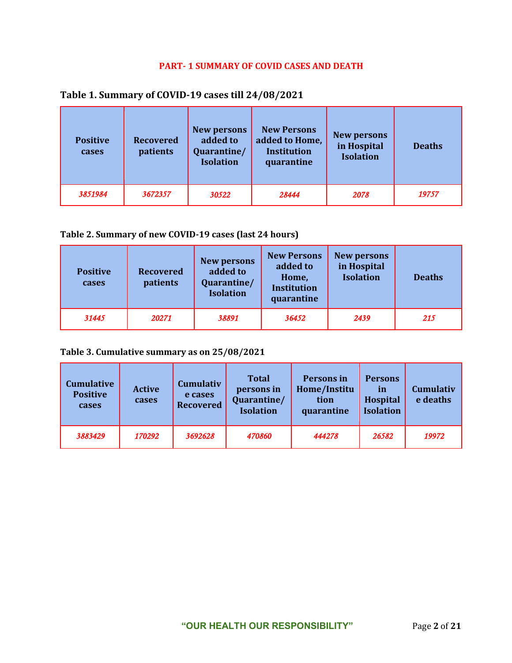#### **PART- 1 SUMMARY OF COVID CASES AND DEATH**

| <b>Positive</b><br>cases | <b>Recovered</b><br>patients | <b>New persons</b><br>added to<br>Quarantine/<br><b>Isolation</b> | <b>New Persons</b><br>added to Home,<br><b>Institution</b><br>quarantine | <b>New persons</b><br>in Hospital<br><b>Isolation</b> | <b>Deaths</b> |
|--------------------------|------------------------------|-------------------------------------------------------------------|--------------------------------------------------------------------------|-------------------------------------------------------|---------------|
| 3851984                  | 3672357                      | 30522                                                             | 28444                                                                    | 2078                                                  | 19757         |

#### **Table 2. Summary of new COVID-19 cases (last 24 hours)**

| <b>Positive</b><br>cases | <b>Recovered</b><br>patients | <b>New persons</b><br>added to<br>Quarantine/<br><b>Isolation</b> | <b>New Persons</b><br>added to<br>Home,<br><b>Institution</b><br>quarantine | <b>New persons</b><br>in Hospital<br><b>Isolation</b> | <b>Deaths</b> |
|--------------------------|------------------------------|-------------------------------------------------------------------|-----------------------------------------------------------------------------|-------------------------------------------------------|---------------|
| 31445                    | 20271                        | 38891                                                             | 36452                                                                       | 2439                                                  | 215           |

## **Table 3. Cumulative summary as on 25/08/2021**

| <b>Cumulative</b><br><b>Positive</b><br>cases | <b>Active</b><br>cases | <b>Cumulativ</b><br>e cases<br><b>Recovered</b> | <b>Total</b><br>persons in<br>Quarantine/<br><b>Isolation</b> | Persons in<br>Home/Institu<br>tion<br>quarantine | <b>Persons</b><br><i>in</i><br>Hospital<br><b>Isolation</b> | <b>Cumulativ</b><br>e deaths |
|-----------------------------------------------|------------------------|-------------------------------------------------|---------------------------------------------------------------|--------------------------------------------------|-------------------------------------------------------------|------------------------------|
| 3883429                                       | 170292                 | 3692628                                         | 470860                                                        | 444278                                           | 26582                                                       | 19972                        |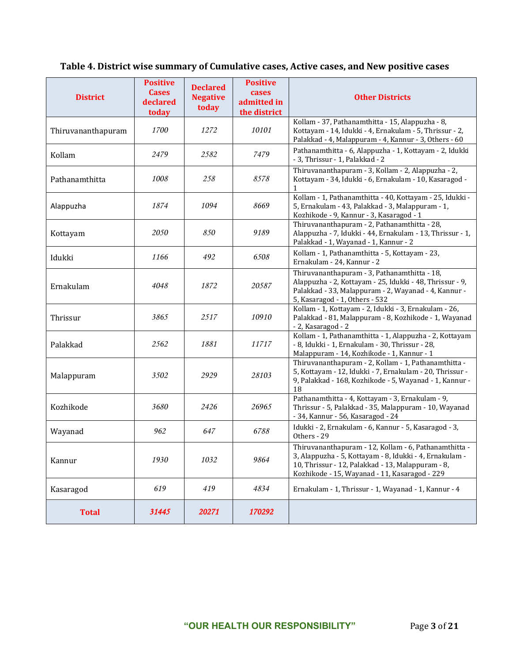# **Table 4. District wise summary of Cumulative cases, Active cases, and New positive cases**

| <b>District</b>    | <b>Positive</b><br><b>Cases</b><br>declared<br>today | <b>Declared</b><br><b>Negative</b><br>today | <b>Positive</b><br>cases<br>admitted in<br>the district | <b>Other Districts</b>                                                                                                                                                                                                 |
|--------------------|------------------------------------------------------|---------------------------------------------|---------------------------------------------------------|------------------------------------------------------------------------------------------------------------------------------------------------------------------------------------------------------------------------|
| Thiruvananthapuram | 1700                                                 | 1272                                        | 10101                                                   | Kollam - 37, Pathanamthitta - 15, Alappuzha - 8,<br>Kottayam - 14, Idukki - 4, Ernakulam - 5, Thrissur - 2,<br>Palakkad - 4, Malappuram - 4, Kannur - 3, Others - 60                                                   |
| Kollam             | 2479                                                 | 2582                                        | 7479                                                    | Pathanamthitta - 6, Alappuzha - 1, Kottayam - 2, Idukki<br>- 3, Thrissur - 1, Palakkad - 2                                                                                                                             |
| Pathanamthitta     | 1008                                                 | 258                                         | 8578                                                    | Thiruvananthapuram - 3, Kollam - 2, Alappuzha - 2,<br>Kottayam - 34, Idukki - 6, Ernakulam - 10, Kasaragod -<br>$\mathbf{1}$                                                                                           |
| Alappuzha          | 1874                                                 | 1094                                        | 8669                                                    | Kollam - 1, Pathanamthitta - 40, Kottayam - 25, Idukki -<br>5, Ernakulam - 43, Palakkad - 3, Malappuram - 1,<br>Kozhikode - 9, Kannur - 3, Kasaragod - 1                                                               |
| Kottayam           | 2050                                                 | 850                                         | 9189                                                    | Thiruvananthapuram - 2, Pathanamthitta - 28,<br>Alappuzha - 7, Idukki - 44, Ernakulam - 13, Thrissur - 1,<br>Palakkad - 1, Wayanad - 1, Kannur - 2                                                                     |
| Idukki             | 1166                                                 | 492                                         | 6508                                                    | Kollam - 1, Pathanamthitta - 5, Kottayam - 23,<br>Ernakulam - 24, Kannur - 2                                                                                                                                           |
| Ernakulam          | 4048                                                 | 1872                                        | 20587                                                   | Thiruvananthapuram - 3, Pathanamthitta - 18,<br>Alappuzha - 2, Kottayam - 25, Idukki - 48, Thrissur - 9,<br>Palakkad - 33, Malappuram - 2, Wayanad - 4, Kannur -<br>5, Kasaragod - 1, Others - 532                     |
| Thrissur           | 3865                                                 | 2517                                        | 10910                                                   | Kollam - 1, Kottayam - 2, Idukki - 3, Ernakulam - 26,<br>Palakkad - 81, Malappuram - 8, Kozhikode - 1, Wayanad<br>- 2, Kasaragod - 2                                                                                   |
| Palakkad           | 2562                                                 | 1881                                        | 11717                                                   | Kollam - 1, Pathanamthitta - 1, Alappuzha - 2, Kottayam<br>- 8, Idukki - 1, Ernakulam - 30, Thrissur - 28,<br>Malappuram - 14, Kozhikode - 1, Kannur - 1                                                               |
| Malappuram         | 3502                                                 | 2929                                        | 28103                                                   | Thiruvananthapuram - 2, Kollam - 1, Pathanamthitta -<br>5, Kottayam - 12, Idukki - 7, Ernakulam - 20, Thrissur -<br>9, Palakkad - 168, Kozhikode - 5, Wayanad - 1, Kannur -<br>18                                      |
| Kozhikode          | 3680                                                 | 2426                                        | 26965                                                   | Pathanamthitta - 4, Kottayam - 3, Ernakulam - 9,<br>Thrissur - 5, Palakkad - 35, Malappuram - 10, Wayanad<br>- 34, Kannur - 56, Kasaragod - 24                                                                         |
| Wayanad            | 962                                                  | 647                                         | 6788                                                    | Idukki - 2, Ernakulam - 6, Kannur - 5, Kasaragod - 3,<br>Others - 29                                                                                                                                                   |
| Kannur             | 1930                                                 | 1032                                        | 9864                                                    | Thiruvananthapuram - 12, Kollam - 6, Pathanamthitta -<br>3, Alappuzha - 5, Kottayam - 8, Idukki - 4, Ernakulam -<br>10, Thrissur - 12, Palakkad - 13, Malappuram - 8,<br>Kozhikode - 15, Wayanad - 11, Kasaragod - 229 |
| Kasaragod          | 619                                                  | 419                                         | 4834                                                    | Ernakulam - 1, Thrissur - 1, Wayanad - 1, Kannur - 4                                                                                                                                                                   |
| <b>Total</b>       | 31445                                                | 20271                                       | 170292                                                  |                                                                                                                                                                                                                        |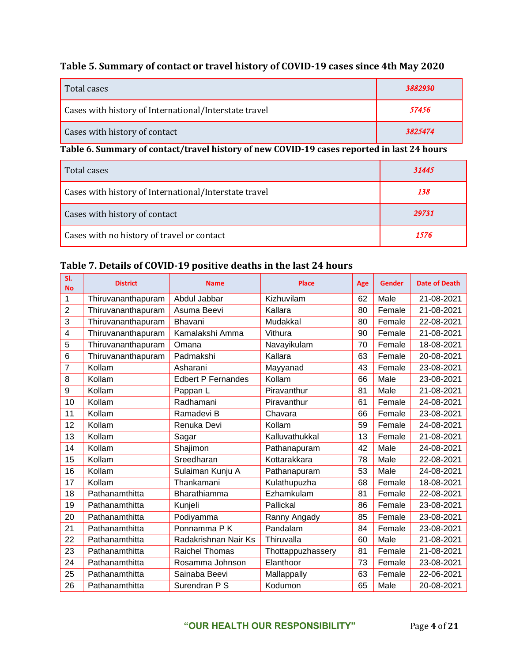# **Table 5. Summary of contact or travel history of COVID-19 cases since 4th May 2020**

| Total cases                                           | 3882930 |
|-------------------------------------------------------|---------|
| Cases with history of International/Interstate travel | 57456   |
| Cases with history of contact                         | 3825474 |

# **Table 6. Summary of contact/travel history of new COVID-19 cases reported in last 24 hours**

| Total cases                                           | 31445 |
|-------------------------------------------------------|-------|
| Cases with history of International/Interstate travel | 138   |
| Cases with history of contact                         | 29731 |
| Cases with no history of travel or contact            | 1576  |

### **Table 7. Details of COVID-19 positive deaths in the last 24 hours**

| SI.<br><b>No</b> | <b>District</b>    | <b>Name</b>               | <b>Place</b>      | Age | <b>Gender</b> | <b>Date of Death</b> |
|------------------|--------------------|---------------------------|-------------------|-----|---------------|----------------------|
| 1                | Thiruvananthapuram | Abdul Jabbar              | Kizhuvilam        | 62  | Male          | 21-08-2021           |
| $\overline{2}$   | Thiruvananthapuram | Asuma Beevi               | Kallara           | 80  | Female        | 21-08-2021           |
| 3                | Thiruvananthapuram | Bhavani                   | Mudakkal          | 80  | Female        | 22-08-2021           |
| 4                | Thiruvananthapuram | Kamalakshi Amma           | Vithura           | 90  | Female        | 21-08-2021           |
| 5                | Thiruvananthapuram | Omana                     | Navayikulam       | 70  | Female        | 18-08-2021           |
| 6                | Thiruvananthapuram | Padmakshi                 | Kallara           | 63  | Female        | 20-08-2021           |
| 7                | Kollam             | Asharani                  | Mayyanad          | 43  | Female        | 23-08-2021           |
| 8                | Kollam             | <b>Edbert P Fernandes</b> | Kollam            | 66  | Male          | 23-08-2021           |
| 9                | Kollam             | Pappan L                  | Piravanthur       | 81  | Male          | 21-08-2021           |
| 10               | Kollam             | Radhamani                 | Piravanthur       | 61  | Female        | 24-08-2021           |
| 11               | Kollam             | Ramadevi B                | Chavara           | 66  | Female        | 23-08-2021           |
| 12               | Kollam             | Renuka Devi               | Kollam            | 59  | Female        | 24-08-2021           |
| 13               | Kollam             | Sagar                     | Kalluvathukkal    | 13  | Female        | 21-08-2021           |
| 14               | Kollam             | Shajimon                  | Pathanapuram      | 42  | Male          | 24-08-2021           |
| 15               | Kollam             | Sreedharan                | Kottarakkara      | 78  | Male          | 22-08-2021           |
| 16               | Kollam             | Sulaiman Kunju A          | Pathanapuram      | 53  | Male          | 24-08-2021           |
| 17               | Kollam             | Thankamani                | Kulathupuzha      | 68  | Female        | 18-08-2021           |
| 18               | Pathanamthitta     | Bharathiamma              | Ezhamkulam        | 81  | Female        | 22-08-2021           |
| 19               | Pathanamthitta     | Kunjeli                   | Pallickal         | 86  | Female        | 23-08-2021           |
| 20               | Pathanamthitta     | Podiyamma                 | Ranny Angady      | 85  | Female        | 23-08-2021           |
| 21               | Pathanamthitta     | Ponnamma <sub>PK</sub>    | Pandalam          | 84  | Female        | 23-08-2021           |
| 22               | Pathanamthitta     | Radakrishnan Nair Ks      | Thiruvalla        | 60  | Male          | 21-08-2021           |
| 23               | Pathanamthitta     | <b>Raichel Thomas</b>     | Thottappuzhassery | 81  | Female        | 21-08-2021           |
| 24               | Pathanamthitta     | Rosamma Johnson           | Elanthoor         | 73  | Female        | 23-08-2021           |
| 25               | Pathanamthitta     | Sainaba Beevi             | Mallappally       | 63  | Female        | 22-06-2021           |
| 26               | Pathanamthitta     | Surendran P S             | Kodumon           | 65  | Male          | 20-08-2021           |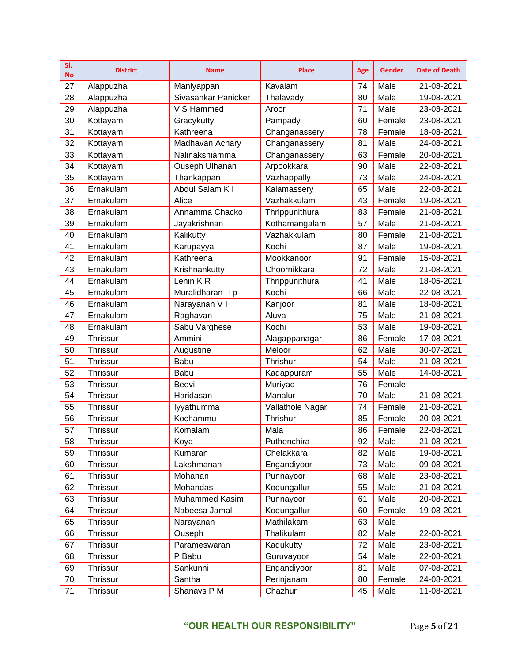| SI.<br><b>No</b> | <b>District</b> | <b>Name</b>         | <b>Place</b>     | Age | <b>Gender</b> | <b>Date of Death</b> |
|------------------|-----------------|---------------------|------------------|-----|---------------|----------------------|
| 27               | Alappuzha       | Maniyappan          | Kavalam          | 74  | Male          | 21-08-2021           |
| 28               | Alappuzha       | Sivasankar Panicker | Thalavady        | 80  | Male          | 19-08-2021           |
| 29               | Alappuzha       | V S Hammed          | Aroor            | 71  | Male          | 23-08-2021           |
| 30               | Kottayam        | Gracykutty          | Pampady          | 60  | Female        | 23-08-2021           |
| 31               | Kottayam        | Kathreena           | Changanassery    | 78  | Female        | 18-08-2021           |
| 32               | Kottayam        | Madhavan Achary     | Changanassery    | 81  | Male          | 24-08-2021           |
| 33               | Kottayam        | Nalinakshiamma      | Changanassery    | 63  | Female        | 20-08-2021           |
| 34               | Kottayam        | Ouseph Ulhanan      | Arpookkara       | 90  | Male          | 22-08-2021           |
| 35               | Kottayam        | Thankappan          | Vazhappally      | 73  | Male          | 24-08-2021           |
| 36               | Ernakulam       | Abdul Salam K I     | Kalamassery      | 65  | Male          | 22-08-2021           |
| 37               | Ernakulam       | Alice               | Vazhakkulam      | 43  | Female        | 19-08-2021           |
| 38               | Ernakulam       | Annamma Chacko      | Thrippunithura   | 83  | Female        | 21-08-2021           |
| 39               | Ernakulam       | Jayakrishnan        | Kothamangalam    | 57  | Male          | 21-08-2021           |
| 40               | Ernakulam       | Kalikutty           | Vazhakkulam      | 80  | Female        | 21-08-2021           |
| 41               | Ernakulam       | Karupayya           | Kochi            | 87  | Male          | 19-08-2021           |
| 42               | Ernakulam       | Kathreena           | Mookkanoor       | 91  | Female        | 15-08-2021           |
| 43               | Ernakulam       | Krishnankutty       | Choornikkara     | 72  | Male          | 21-08-2021           |
| 44               | Ernakulam       | Lenin KR            | Thrippunithura   | 41  | Male          | 18-05-2021           |
| 45               | Ernakulam       | Muralidharan Tp     | Kochi            | 66  | Male          | 22-08-2021           |
| 46               | Ernakulam       | Narayanan V I       | Kanjoor          | 81  | Male          | 18-08-2021           |
| 47               | Ernakulam       | Raghavan            | Aluva            | 75  | Male          | 21-08-2021           |
| 48               | Ernakulam       | Sabu Varghese       | Kochi            | 53  | Male          | 19-08-2021           |
| 49               | <b>Thrissur</b> | Ammini              | Alagappanagar    | 86  | Female        | 17-08-2021           |
| 50               | <b>Thrissur</b> | Augustine           | Meloor           | 62  | Male          | 30-07-2021           |
| 51               | <b>Thrissur</b> | Babu                | Thrishur         | 54  | Male          | 21-08-2021           |
| 52               | <b>Thrissur</b> | Babu                | Kadappuram       | 55  | Male          | 14-08-2021           |
| 53               | <b>Thrissur</b> | Beevi               | Muriyad          | 76  | Female        |                      |
| 54               | Thrissur        | Haridasan           | Manalur          | 70  | Male          | 21-08-2021           |
| 55               | Thrissur        | lyyathumma          | Vallathole Nagar | 74  | Female        | 21-08-2021           |
| 56               | <b>Thrissur</b> | Kochammu            | Thrishur         | 85  | Female        | 20-08-2021           |
| 57               | Thrissur        | Komalam             | Mala             | 86  | Female        | 22-08-2021           |
| 58               | <b>Thrissur</b> | Koya                | Puthenchira      | 92  | Male          | 21-08-2021           |
| 59               | <b>Thrissur</b> | Kumaran             | Chelakkara       | 82  | Male          | 19-08-2021           |
| 60               | <b>Thrissur</b> | Lakshmanan          | Engandiyoor      | 73  | Male          | 09-08-2021           |
| 61               | <b>Thrissur</b> | Mohanan             | Punnayoor        | 68  | Male          | 23-08-2021           |
| 62               | <b>Thrissur</b> | Mohandas            | Kodungallur      | 55  | Male          | 21-08-2021           |
| 63               | <b>Thrissur</b> | Muhammed Kasim      | Punnayoor        | 61  | Male          | 20-08-2021           |
| 64               | <b>Thrissur</b> | Nabeesa Jamal       | Kodungallur      | 60  | Female        | 19-08-2021           |
| 65               | <b>Thrissur</b> | Narayanan           | Mathilakam       | 63  | Male          |                      |
| 66               | <b>Thrissur</b> | Ouseph              | Thalikulam       | 82  | Male          | 22-08-2021           |
| 67               | <b>Thrissur</b> | Parameswaran        | Kadukutty        | 72  | Male          | 23-08-2021           |
| 68               | <b>Thrissur</b> | P Babu              | Guruvayoor       | 54  | Male          | 22-08-2021           |
| 69               | <b>Thrissur</b> | Sankunni            | Engandiyoor      | 81  | Male          | 07-08-2021           |
| 70               | <b>Thrissur</b> | Santha              | Perinjanam       | 80  | Female        | 24-08-2021           |
| 71               | Thrissur        | Shanavs P M         | Chazhur          | 45  | Male          | 11-08-2021           |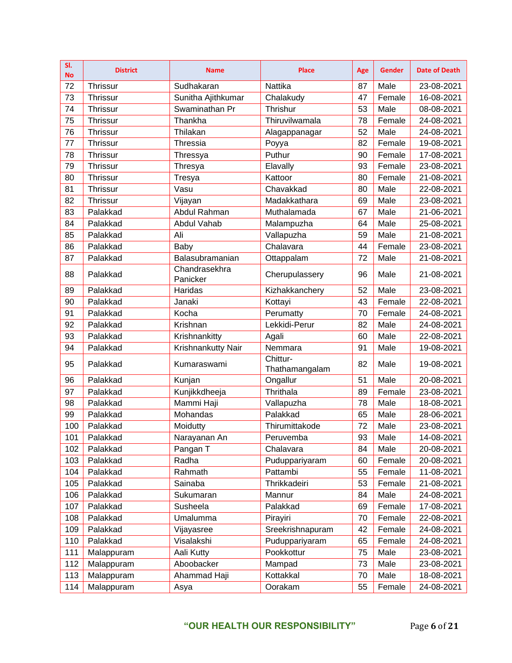| SI.<br><b>No</b> | <b>District</b> | <b>Name</b>               | <b>Place</b>               | Age | <b>Gender</b> | <b>Date of Death</b> |
|------------------|-----------------|---------------------------|----------------------------|-----|---------------|----------------------|
| 72               | Thrissur        | Sudhakaran                | Nattika                    | 87  | Male          | 23-08-2021           |
| 73               | Thrissur        | Sunitha Ajithkumar        | Chalakudy                  | 47  | Female        | 16-08-2021           |
| 74               | Thrissur        | Swaminathan Pr            | Thrishur                   | 53  | Male          | 08-08-2021           |
| 75               | Thrissur        | Thankha                   | Thiruvilwamala             | 78  | Female        | 24-08-2021           |
| 76               | Thrissur        | Thilakan                  | Alagappanagar              | 52  | Male          | 24-08-2021           |
| 77               | Thrissur        | Thressia                  | Poyya                      | 82  | Female        | 19-08-2021           |
| 78               | Thrissur        | Thressya                  | Puthur                     | 90  | Female        | 17-08-2021           |
| 79               | Thrissur        | Thresya                   | Elavally                   | 93  | Female        | 23-08-2021           |
| 80               | Thrissur        | Tresya                    | Kattoor                    | 80  | Female        | 21-08-2021           |
| 81               | <b>Thrissur</b> | Vasu                      | Chavakkad                  | 80  | Male          | 22-08-2021           |
| 82               | Thrissur        | Vijayan                   | Madakkathara               | 69  | Male          | 23-08-2021           |
| 83               | Palakkad        | Abdul Rahman              | Muthalamada                | 67  | Male          | 21-06-2021           |
| 84               | Palakkad        | Abdul Vahab               | Malampuzha                 | 64  | Male          | 25-08-2021           |
| 85               | Palakkad        | Ali                       | Vallapuzha                 | 59  | Male          | 21-08-2021           |
| 86               | Palakkad        | Baby                      | Chalavara                  | 44  | Female        | 23-08-2021           |
| 87               | Palakkad        | Balasubramanian           | Ottappalam                 | 72  | Male          | 21-08-2021           |
| 88               | Palakkad        | Chandrasekhra<br>Panicker | Cherupulassery             | 96  | Male          | 21-08-2021           |
| 89               | Palakkad        | Haridas                   | Kizhakkanchery             | 52  | Male          | 23-08-2021           |
| 90               | Palakkad        | Janaki                    | Kottayi                    | 43  | Female        | 22-08-2021           |
| 91               | Palakkad        | Kocha                     | Perumatty                  | 70  | Female        | 24-08-2021           |
| 92               | Palakkad        | Krishnan                  | Lekkidi-Perur              | 82  | Male          | 24-08-2021           |
| 93               | Palakkad        | Krishnankitty             | Agali                      | 60  | Male          | 22-08-2021           |
| 94               | Palakkad        | Krishnankutty Nair        | Nemmara                    | 91  | Male          | 19-08-2021           |
| 95               | Palakkad        | Kumaraswami               | Chittur-<br>Thathamangalam | 82  | Male          | 19-08-2021           |
| 96               | Palakkad        | Kunjan                    | Ongallur                   | 51  | Male          | 20-08-2021           |
| 97               | Palakkad        | Kunjikkdheeja             | Thrithala                  | 89  | Female        | 23-08-2021           |
| 98               | Palakkad        | Mammi Haji                | Vallapuzha                 | 78  | Male          | 18-08-2021           |
| 99               | Palakkad        | Mohandas                  | Palakkad                   | 65  | Male          | 28-06-2021           |
| 100              | Palakkad        | Moidutty                  | Thirumittakode             | 72  | Male          | 23-08-2021           |
| 101              | Palakkad        | Narayanan An              | Peruvemba                  | 93  | Male          | 14-08-2021           |
| 102              | Palakkad        | Pangan T                  | Chalavara                  | 84  | Male          | 20-08-2021           |
| 103              | Palakkad        | Radha                     | Puduppariyaram             | 60  | Female        | 20-08-2021           |
| 104              | Palakkad        | Rahmath                   | Pattambi                   | 55  | Female        | 11-08-2021           |
| 105              | Palakkad        | Sainaba                   | Thrikkadeiri               | 53  | Female        | 21-08-2021           |
| 106              | Palakkad        | Sukumaran                 | Mannur                     | 84  | Male          | 24-08-2021           |
| 107              | Palakkad        | Susheela                  | Palakkad                   | 69  | Female        | 17-08-2021           |
| 108              | Palakkad        | Umalumma                  | Pirayiri                   | 70  | Female        | 22-08-2021           |
| 109              | Palakkad        | Vijayasree                | Sreekrishnapuram           | 42  | Female        | 24-08-2021           |
| 110              | Palakkad        | Visalakshi                | Puduppariyaram             | 65  | Female        | 24-08-2021           |
| 111              | Malappuram      | Aali Kutty                | Pookkottur                 | 75  | Male          | 23-08-2021           |
| 112              | Malappuram      | Aboobacker                | Mampad                     | 73  | Male          | 23-08-2021           |
| 113              | Malappuram      | Ahammad Haji              | Kottakkal                  | 70  | Male          | 18-08-2021           |
| 114              | Malappuram      | Asya                      | Oorakam                    | 55  | Female        | 24-08-2021           |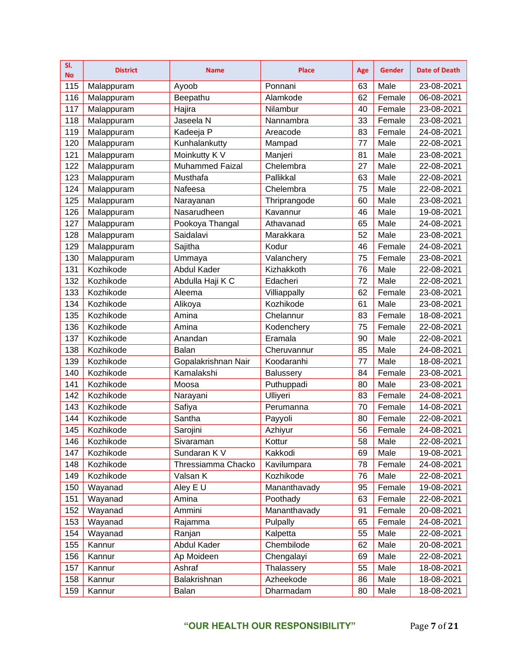| SI.<br><b>No</b> | <b>District</b> | <b>Name</b>            | <b>Place</b> | Age | <b>Gender</b> | <b>Date of Death</b> |
|------------------|-----------------|------------------------|--------------|-----|---------------|----------------------|
| 115              | Malappuram      | Ayoob                  | Ponnani      | 63  | Male          | 23-08-2021           |
| 116              | Malappuram      | Beepathu               | Alamkode     | 62  | Female        | 06-08-2021           |
| 117              | Malappuram      | Hajira                 | Nilambur     | 40  | Female        | 23-08-2021           |
| 118              | Malappuram      | Jaseela N              | Nannambra    | 33  | Female        | 23-08-2021           |
| 119              | Malappuram      | Kadeeja P              | Areacode     | 83  | Female        | 24-08-2021           |
| 120              | Malappuram      | Kunhalankutty          | Mampad       | 77  | Male          | 22-08-2021           |
| 121              | Malappuram      | Moinkutty K V          | Manjeri      | 81  | Male          | 23-08-2021           |
| 122              | Malappuram      | <b>Muhammed Faizal</b> | Chelembra    | 27  | Male          | 22-08-2021           |
| 123              | Malappuram      | Musthafa               | Pallikkal    | 63  | Male          | 22-08-2021           |
| 124              | Malappuram      | Nafeesa                | Chelembra    | 75  | Male          | 22-08-2021           |
| 125              | Malappuram      | Narayanan              | Thriprangode | 60  | Male          | 23-08-2021           |
| 126              | Malappuram      | Nasarudheen            | Kavannur     | 46  | Male          | 19-08-2021           |
| 127              | Malappuram      | Pookoya Thangal        | Athavanad    | 65  | Male          | 24-08-2021           |
| 128              | Malappuram      | Saidalavi              | Marakkara    | 52  | Male          | 23-08-2021           |
| 129              | Malappuram      | Sajitha                | Kodur        | 46  | Female        | 24-08-2021           |
| 130              | Malappuram      | Ummaya                 | Valanchery   | 75  | Female        | 23-08-2021           |
| 131              | Kozhikode       | <b>Abdul Kader</b>     | Kizhakkoth   | 76  | Male          | 22-08-2021           |
| 132              | Kozhikode       | Abdulla Haji K C       | Edacheri     | 72  | Male          | 22-08-2021           |
| 133              | Kozhikode       | Aleema                 | Villiappally | 62  | Female        | 23-08-2021           |
| 134              | Kozhikode       | Alikoya                | Kozhikode    | 61  | Male          | 23-08-2021           |
| 135              | Kozhikode       | Amina                  | Chelannur    | 83  | Female        | 18-08-2021           |
| 136              | Kozhikode       | Amina                  | Kodenchery   | 75  | Female        | 22-08-2021           |
| 137              | Kozhikode       | Anandan                | Eramala      | 90  | Male          | 22-08-2021           |
| 138              | Kozhikode       | Balan                  | Cheruvannur  | 85  | Male          | 24-08-2021           |
| 139              | Kozhikode       | Gopalakrishnan Nair    | Koodaranhi   | 77  | Male          | 18-08-2021           |
| 140              | Kozhikode       | Kamalakshi             | Balussery    | 84  | Female        | 23-08-2021           |
| 141              | Kozhikode       | Moosa                  | Puthuppadi   | 80  | Male          | 23-08-2021           |
| 142              | Kozhikode       | Narayani               | Ulliyeri     | 83  | Female        | 24-08-2021           |
| 143              | Kozhikode       | Safiya                 | Perumanna    | 70  | Female        | 14-08-2021           |
| 144              | Kozhikode       | Santha                 | Payyoli      | 80  | Female        | 22-08-2021           |
| 145              | Kozhikode       | Sarojini               | Azhiyur      | 56  | Female        | 24-08-2021           |
| 146              | Kozhikode       | Sivaraman              | Kottur       | 58  | Male          | 22-08-2021           |
| 147              | Kozhikode       | Sundaran K V           | Kakkodi      | 69  | Male          | 19-08-2021           |
| 148              | Kozhikode       | Thressiamma Chacko     | Kavilumpara  | 78  | Female        | 24-08-2021           |
| 149              | Kozhikode       | Valsan K               | Kozhikode    | 76  | Male          | 22-08-2021           |
| 150              | Wayanad         | Aley E U               | Mananthavady | 95  | Female        | 19-08-2021           |
| 151              | Wayanad         | Amina                  | Poothady     | 63  | Female        | 22-08-2021           |
| 152              | Wayanad         | Ammini                 | Mananthavady | 91  | Female        | 20-08-2021           |
| 153              | Wayanad         | Rajamma                | Pulpally     | 65  | Female        | 24-08-2021           |
| 154              | Wayanad         | Ranjan                 | Kalpetta     | 55  | Male          | 22-08-2021           |
| 155              | Kannur          | Abdul Kader            | Chembilode   | 62  | Male          | 20-08-2021           |
| 156              | Kannur          | Ap Moideen             | Chengalayi   | 69  | Male          | 22-08-2021           |
| 157              | Kannur          | Ashraf                 | Thalassery   | 55  | Male          | 18-08-2021           |
| 158              | Kannur          | Balakrishnan           | Azheekode    | 86  | Male          | 18-08-2021           |
| 159              | Kannur          | Balan                  | Dharmadam    | 80  | Male          | 18-08-2021           |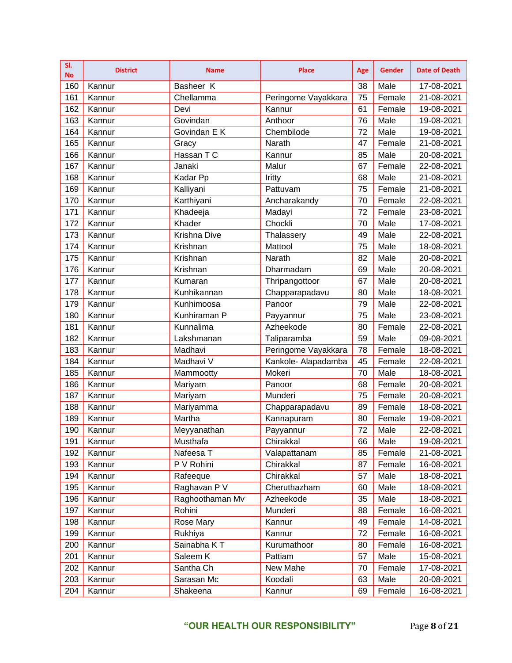| SI.<br><b>No</b> | <b>District</b> | <b>Name</b>     | <b>Place</b>        | Age | <b>Gender</b> | <b>Date of Death</b> |
|------------------|-----------------|-----------------|---------------------|-----|---------------|----------------------|
| 160              | Kannur          | Basheer K       |                     | 38  | Male          | 17-08-2021           |
| 161              | Kannur          | Chellamma       | Peringome Vayakkara | 75  | Female        | 21-08-2021           |
| 162              | Kannur          | Devi            | Kannur              | 61  | Female        | 19-08-2021           |
| 163              | Kannur          | Govindan        | Anthoor             | 76  | Male          | 19-08-2021           |
| 164              | Kannur          | Govindan E K    | Chembilode          | 72  | Male          | 19-08-2021           |
| 165              | Kannur          | Gracy           | Narath              | 47  | Female        | 21-08-2021           |
| 166              | Kannur          | Hassan T C      | Kannur              | 85  | Male          | 20-08-2021           |
| 167              | Kannur          | Janaki          | Malur               | 67  | Female        | 22-08-2021           |
| 168              | Kannur          | Kadar Pp        | Iritty              | 68  | Male          | 21-08-2021           |
| 169              | Kannur          | Kalliyani       | Pattuvam            | 75  | Female        | 21-08-2021           |
| 170              | Kannur          | Karthiyani      | Ancharakandy        | 70  | Female        | 22-08-2021           |
| 171              | Kannur          | Khadeeja        | Madayi              | 72  | Female        | 23-08-2021           |
| 172              | Kannur          | Khader          | Chockli             | 70  | Male          | 17-08-2021           |
| 173              | Kannur          | Krishna Dive    | Thalassery          | 49  | Male          | 22-08-2021           |
| 174              | Kannur          | Krishnan        | Mattool             | 75  | Male          | 18-08-2021           |
| 175              | Kannur          | Krishnan        | Narath              | 82  | Male          | 20-08-2021           |
| 176              | Kannur          | Krishnan        | Dharmadam           | 69  | Male          | 20-08-2021           |
| 177              | Kannur          | Kumaran         | Thripangottoor      | 67  | Male          | 20-08-2021           |
| 178              | Kannur          | Kunhikannan     | Chapparapadavu      | 80  | Male          | 18-08-2021           |
| 179              | Kannur          | Kunhimoosa      | Panoor              | 79  | Male          | 22-08-2021           |
| 180              | Kannur          | Kunhiraman P    | Payyannur           | 75  | Male          | 23-08-2021           |
| 181              | Kannur          | Kunnalima       | Azheekode           | 80  | Female        | 22-08-2021           |
| 182              | Kannur          | Lakshmanan      | Taliparamba         | 59  | Male          | 09-08-2021           |
| 183              | Kannur          | Madhavi         | Peringome Vayakkara | 78  | Female        | 18-08-2021           |
| 184              | Kannur          | Madhavi V       | Kankole- Alapadamba | 45  | Female        | 22-08-2021           |
| 185              | Kannur          | Mammootty       | Mokeri              | 70  | Male          | 18-08-2021           |
| 186              | Kannur          | Mariyam         | Panoor              | 68  | Female        | 20-08-2021           |
| 187              | Kannur          | Mariyam         | Munderi             | 75  | Female        | 20-08-2021           |
| 188              | Kannur          | Mariyamma       | Chapparapadavu      | 89  | Female        | 18-08-2021           |
| 189              | Kannur          | Martha          | Kannapuram          | 80  | Female        | 19-08-2021           |
| 190              | Kannur          | Meyyanathan     | Payyannur           | 72  | Male          | 22-08-2021           |
| 191              | Kannur          | Musthafa        | Chirakkal           | 66  | Male          | 19-08-2021           |
| 192              | Kannur          | Nafeesa T       | Valapattanam        | 85  | Female        | 21-08-2021           |
| 193              | Kannur          | P V Rohini      | Chirakkal           | 87  | Female        | 16-08-2021           |
| 194              | Kannur          | Rafeeque        | Chirakkal           | 57  | Male          | 18-08-2021           |
| 195              | Kannur          | Raghavan P V    | Cheruthazham        | 60  | Male          | 18-08-2021           |
| 196              | Kannur          | Raghoothaman Mv | Azheekode           | 35  | Male          | 18-08-2021           |
| 197              | Kannur          | Rohini          | Munderi             | 88  | Female        | 16-08-2021           |
| 198              | Kannur          | Rose Mary       | Kannur              | 49  | Female        | 14-08-2021           |
| 199              | Kannur          | Rukhiya         | Kannur              | 72  | Female        | 16-08-2021           |
| 200              | Kannur          | Sainabha KT     | Kurumathoor         | 80  | Female        | 16-08-2021           |
| 201              | Kannur          | Saleem K        | Pattiam             | 57  | Male          | 15-08-2021           |
| 202              | Kannur          | Santha Ch       | New Mahe            | 70  | Female        | 17-08-2021           |
| 203              | Kannur          | Sarasan Mc      | Koodali             | 63  | Male          | 20-08-2021           |
| 204              | Kannur          | Shakeena        | Kannur              | 69  | Female        | 16-08-2021           |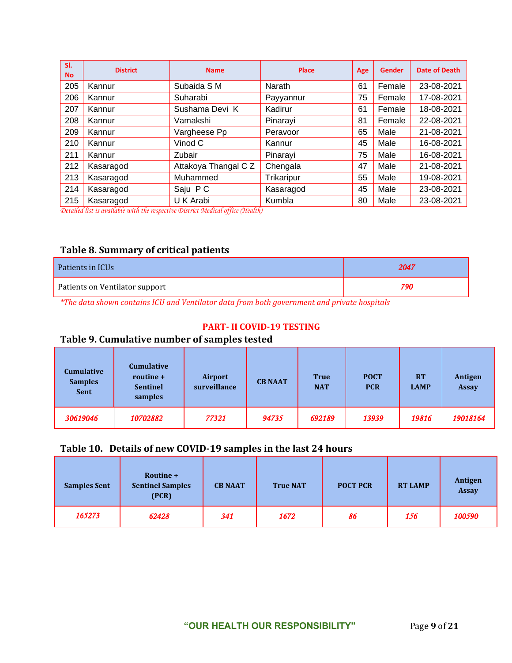| SI.<br><b>No</b> | <b>District</b> | <b>Name</b>          | Place      | Age | <b>Gender</b> | <b>Date of Death</b> |
|------------------|-----------------|----------------------|------------|-----|---------------|----------------------|
| 205              | Kannur          | Subaida S M          | Narath     | 61  | Female        | 23-08-2021           |
| 206              | Kannur          | Suharabi             | Payyannur  | 75  | Female        | 17-08-2021           |
| 207              | Kannur          | Sushama Devi K       | Kadirur    | 61  | Female        | 18-08-2021           |
| 208              | Kannur          | Vamakshi             | Pinarayi   | 81  | Female        | 22-08-2021           |
| 209              | Kannur          | Vargheese Pp         | Peravoor   | 65  | Male          | 21-08-2021           |
| 210              | Kannur          | Vinod C              | Kannur     | 45  | Male          | 16-08-2021           |
| 211              | Kannur          | Zubair               | Pinarayi   | 75  | Male          | 16-08-2021           |
| 212              | Kasaragod       | Attakoya Thangal C Z | Chengala   | 47  | Male          | 21-08-2021           |
| 213              | Kasaragod       | Muhammed             | Trikaripur | 55  | Male          | 19-08-2021           |
| 214              | Kasaragod       | Saju PC              | Kasaragod  | 45  | Male          | 23-08-2021           |
| 215              | Kasaragod       | U K Arabi            | Kumbla     | 80  | Male          | 23-08-2021           |

*Detailed list is available with the respective District Medical office (Health)*

### **Table 8. Summary of critical patients**

| Patients in ICUs               | 2047 |
|--------------------------------|------|
| Patients on Ventilator support | 790  |

*\*The data shown contains ICU and Ventilator data from both government and private hospitals*

#### **PART- II COVID-19 TESTING**

## **Table 9. Cumulative number of samples tested**

| <b>Cumulative</b><br><b>Samples</b><br><b>Sent</b> | Cumulative<br>routine +<br><b>Sentinel</b><br>samples | Airport<br>surveillance | <b>CB NAAT</b> | <b>True</b><br><b>NAT</b> | <b>POCT</b><br><b>PCR</b> | <b>RT</b><br><b>LAMP</b> | Antigen<br><b>Assay</b> |
|----------------------------------------------------|-------------------------------------------------------|-------------------------|----------------|---------------------------|---------------------------|--------------------------|-------------------------|
| 30619046                                           | 10702882                                              | 77321                   | 94735          | 692189                    | 13939                     | 19816                    | 19018164                |

## **Table 10. Details of new COVID-19 samples in the last 24 hours**

| <b>Samples Sent</b> | Routine +<br><b>Sentinel Samples</b><br>(PCR) | <b>CB NAAT</b> | <b>True NAT</b> | <b>POCT PCR</b> | <b>RT LAMP</b> | Antigen<br><b>Assay</b> |
|---------------------|-----------------------------------------------|----------------|-----------------|-----------------|----------------|-------------------------|
| 165273              | 62428                                         | 341            | 1672            | 86              | 156            | 100590                  |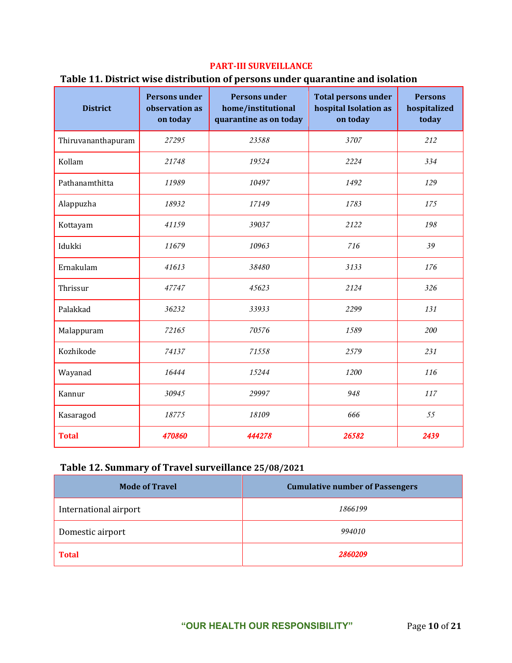#### **PART-III SURVEILLANCE**

#### **Table 11. District wise distribution of persons under quarantine and isolation**

| <b>District</b>    | <b>Persons under</b><br>observation as<br>on today | <b>Persons under</b><br>home/institutional<br>quarantine as on today | <b>Total persons under</b><br>hospital Isolation as<br>on today | <b>Persons</b><br>hospitalized<br>today |
|--------------------|----------------------------------------------------|----------------------------------------------------------------------|-----------------------------------------------------------------|-----------------------------------------|
| Thiruvananthapuram | 27295                                              | 23588                                                                | 3707                                                            | 212                                     |
| Kollam             | 21748                                              | 19524                                                                | 2224                                                            | 334                                     |
| Pathanamthitta     | 11989                                              | 10497                                                                | 1492                                                            | 129                                     |
| Alappuzha          | 18932                                              | 17149                                                                | 1783                                                            | 175                                     |
| Kottayam           | 41159                                              | 39037                                                                | 2122                                                            | 198                                     |
| Idukki             | 11679                                              | 10963                                                                | 716                                                             | 39                                      |
| Ernakulam          | 41613                                              | 38480                                                                | 3133                                                            | 176                                     |
| Thrissur           | 47747                                              | 45623                                                                | 2124                                                            | 326                                     |
| Palakkad           | 36232                                              | 33933                                                                | 2299                                                            | 131                                     |
| Malappuram         | 72165                                              | 70576                                                                | 1589                                                            | 200                                     |
| Kozhikode          | 74137                                              | 71558                                                                | 2579                                                            | 231                                     |
| Wayanad            | 16444                                              | 15244                                                                | 1200                                                            | 116                                     |
| Kannur             | 30945                                              | 29997                                                                | 948                                                             | 117                                     |
| Kasaragod          | 18775                                              | 18109                                                                | 666                                                             | 55                                      |
| <b>Total</b>       | 470860                                             | 444278                                                               | 26582                                                           | 2439                                    |

# **Table 12. Summary of Travel surveillance 25/08/2021**

| <b>Mode of Travel</b> | <b>Cumulative number of Passengers</b> |
|-----------------------|----------------------------------------|
| International airport | 1866199                                |
| Domestic airport      | 994010                                 |
| <b>Total</b>          | 2860209                                |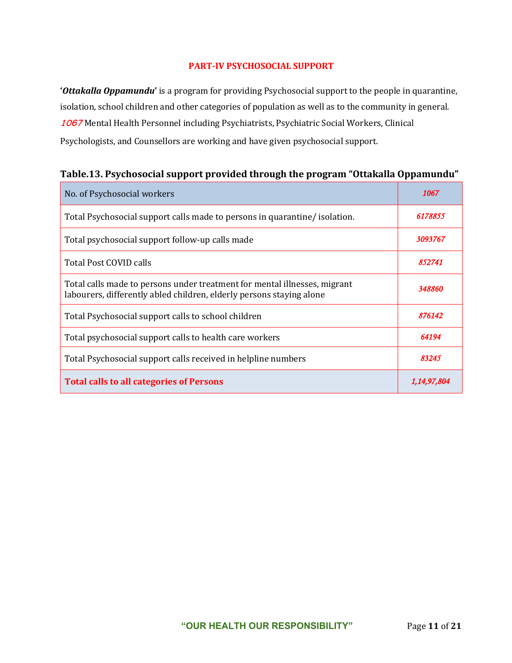#### **PART-IV PSYCHOSOCIAL SUPPORT**

**'***Ottakalla Oppamundu***'** is a program for providing Psychosocial support to the people in quarantine, isolation, school children and other categories of population as well as to the community in general. **1067** Mental Health Personnel including Psychiatrists, Psychiatric Social Workers, Clinical Psychologists, and Counsellors are working and have given psychosocial support.

| No. of Psychosocial workers                                                                                                                       | 1067        |
|---------------------------------------------------------------------------------------------------------------------------------------------------|-------------|
| Total Psychosocial support calls made to persons in quarantine/ isolation.                                                                        | 6178855     |
| Total psychosocial support follow-up calls made                                                                                                   | 3093767     |
| Total Post COVID calls                                                                                                                            | 852741      |
| Total calls made to persons under treatment for mental illnesses, migrant<br>labourers, differently abled children, elderly persons staying alone | 348860      |
| Total Psychosocial support calls to school children                                                                                               | 876142      |
| Total psychosocial support calls to health care workers                                                                                           | 64194       |
| Total Psychosocial support calls received in helpline numbers                                                                                     | 83245       |
| <b>Total calls to all categories of Persons</b>                                                                                                   | 1,14,97,804 |

## **Table.13. Psychosocial support provided through the program "Ottakalla Oppamundu"**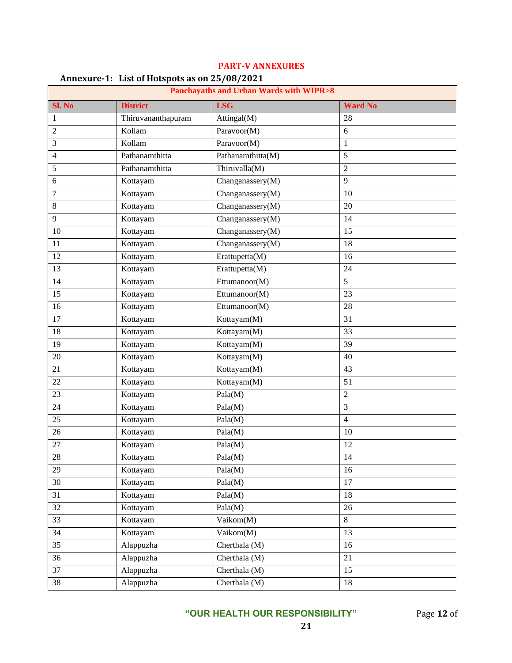|                | $\frac{1}{2}$<br><b>Panchayaths and Urban Wards with WIPR&gt;8</b> |                   |                 |  |  |
|----------------|--------------------------------------------------------------------|-------------------|-----------------|--|--|
| Sl. No         | <b>District</b>                                                    | <b>LSG</b>        | <b>Ward No</b>  |  |  |
| 1              | Thiruvananthapuram                                                 | Attingal(M)       | 28              |  |  |
| $\overline{c}$ | Kollam                                                             | Paravoor(M)       | 6               |  |  |
| 3              | Kollam                                                             | Paravoor(M)       | $\mathbf{1}$    |  |  |
| 4              | Pathanamthitta                                                     | Pathanamthitta(M) | 5               |  |  |
| 5              | Pathanamthitta                                                     | Thiruvalla(M)     | $\overline{2}$  |  |  |
| 6              | Kottayam                                                           | Changanassery(M)  | 9               |  |  |
| $\tau$         | Kottayam                                                           | Changanassery(M)  | 10              |  |  |
| 8              | Kottayam                                                           | Changanassery(M)  | 20              |  |  |
| 9              | Kottayam                                                           | Changanassery(M)  | 14              |  |  |
| 10             | Kottayam                                                           | Changanassery(M)  | 15              |  |  |
| 11             | Kottayam                                                           | Changanassery(M)  | 18              |  |  |
| 12             | Kottayam                                                           | Erattupetta(M)    | 16              |  |  |
| 13             | Kottayam                                                           | Erattupetta(M)    | 24              |  |  |
| 14             | Kottayam                                                           | Ettumanoor(M)     | 5               |  |  |
| 15             | Kottayam                                                           | Ettumanoor(M)     | 23              |  |  |
| 16             | Kottayam                                                           | Ettumanoor(M)     | 28              |  |  |
| 17             | Kottayam                                                           | Kottayam(M)       | 31              |  |  |
| 18             | Kottayam                                                           | Kottayam(M)       | 33              |  |  |
| 19             | Kottayam                                                           | Kottayam(M)       | 39              |  |  |
| 20             | Kottayam                                                           | Kottayam(M)       | 40              |  |  |
| 21             | Kottayam                                                           | Kottayam(M)       | 43              |  |  |
| 22             | Kottayam                                                           | Kottayam(M)       | 51              |  |  |
| 23             | Kottayam                                                           | Pala(M)           | $\overline{2}$  |  |  |
| 24             | Kottayam                                                           | Pala(M)           | 3               |  |  |
| 25             | Kottayam                                                           | Pala(M)           | $\overline{4}$  |  |  |
| 26             | Kottayam                                                           | Pala(M)           | 10              |  |  |
| 27             | Kottayam                                                           | Pala(M)           | 12              |  |  |
| 28             | Kottayam                                                           | Pala(M)           | 14              |  |  |
| 29             | Kottayam                                                           | Pala(M)           | 16              |  |  |
| 30             | Kottayam                                                           | Pala(M)           | $\overline{17}$ |  |  |
| 31             | Kottayam                                                           | Pala(M)           | 18              |  |  |
| 32             | Kottayam                                                           | Pala(M)           | 26              |  |  |
| 33             | Kottayam                                                           | Vaikom(M)         | 8               |  |  |
| 34             | Kottayam                                                           | Vaikom(M)         | 13              |  |  |
| 35             | Alappuzha                                                          | Cherthala (M)     | 16              |  |  |
| 36             | Alappuzha                                                          | Cherthala (M)     | 21              |  |  |
| 37             | Alappuzha                                                          | Cherthala (M)     | 15              |  |  |
| 38             | Alappuzha                                                          | Cherthala (M)     | 18              |  |  |

#### **PART-V ANNEXURES**

### **Annexure-1: List of Hotspots as on 25/08/2021**

**"OUR HEALTH OUR RESPONSIBILITY"** Page **12** of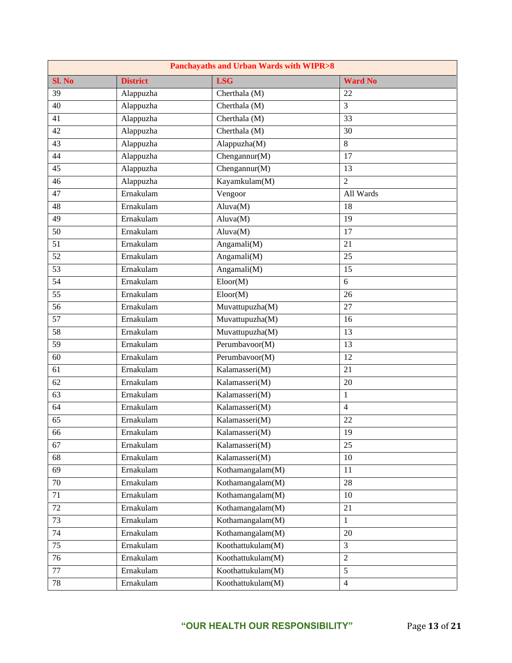| Panchayaths and Urban Wards with WIPR>8 |                 |                                      |                 |
|-----------------------------------------|-----------------|--------------------------------------|-----------------|
| Sl. No                                  | <b>District</b> | <b>LSG</b>                           | <b>Ward No</b>  |
| 39                                      | Alappuzha       | Cherthala (M)                        | 22              |
| 40                                      | Alappuzha       | Cherthala (M)                        | 3               |
| 41                                      | Alappuzha       | Cherthala (M)                        | $\overline{33}$ |
| 42                                      | Alappuzha       | Cherthala (M)                        | 30              |
| $\overline{43}$                         | Alappuzha       | Alappuzha(M)                         | $\overline{8}$  |
| 44                                      | Alappuzha       | Chengannur(M)                        | 17              |
| $\overline{45}$                         | Alappuzha       | $\overline{\text{Chengannur}(M)}$    | $\overline{13}$ |
| 46                                      | Alappuzha       | Kayamkulam(M)                        | $\overline{2}$  |
| $\overline{47}$                         | Ernakulam       | Vengoor                              | All Wards       |
| 48                                      | Ernakulam       | Aluva(M)                             | 18              |
| $\overline{49}$                         | Ernakulam       | Aluva(M)                             | 19              |
| 50                                      | Ernakulam       | Aluva(M)                             | 17              |
| 51                                      | Ernakulam       | Angamali(M)                          | 21              |
| 52                                      | Ernakulam       | Angamali(M)                          | 25              |
| $\overline{53}$                         | Ernakulam       | Angamali( $M$ )                      | 15              |
| 54                                      | Ernakulam       | $\overline{\text{Eloor}}(M)$         | 6               |
| $\overline{55}$                         | Ernakulam       | Eloor(M)                             | 26              |
| 56                                      | Ernakulam       | Muvattupuzha(M)                      | 27              |
| $\overline{57}$                         | Ernakulam       | Muvattupuzha(M)                      | 16              |
| 58                                      | Ernakulam       | Muvattupuzha(M)                      | 13              |
| $\overline{59}$                         | Ernakulam       | Perumbavoor(M)                       | 13              |
| 60                                      | Ernakulam       | Perumbavoor(M)                       | 12              |
| 61                                      | Ernakulam       | Kalamasseri(M)                       | 21              |
| 62                                      | Ernakulam       | Kalamasseri(M)                       | 20              |
| 63                                      | Ernakulam       | Kalamasseri(M)                       | $\,1\,$         |
| 64                                      | Ernakulam       | Kalamasseri(M)                       | $\overline{4}$  |
| 65                                      | Ernakulam       | Kalamasseri(M)                       | 22              |
| 66                                      | Ernakulam       | Kalamasseri(M)                       | 19              |
| 67                                      | Ernakulam       | Kalamasseri(M)                       | 25              |
| 68                                      | Ernakulam       | Kalamasseri(M)                       | 10              |
| 69                                      | Ernakulam       | Kothamangalam(M)                     | 11              |
| 70                                      | Ernakulam       | Kothamangalam(M)                     | $28\,$          |
| 71                                      | Ernakulam       | Kothamangalam(M)                     | 10              |
| 72                                      | Ernakulam       | Kothamangalam(M)                     | 21              |
| 73                                      | Ernakulam       | Kothamangalam(M)                     | $\,1\,$         |
| 74                                      | Ernakulam       | $\overline{\text{Kothamangalam(M)}}$ | $20\,$          |
| $\overline{75}$                         | Ernakulam       | Koothattukulam(M)                    | 3               |
| 76                                      | Ernakulam       | Koothattukulam(M)                    | $\sqrt{2}$      |
| 77                                      | Ernakulam       | Koothattukulam(M)                    | 5               |
| 78                                      | Ernakulam       | Koothattukulam(M)                    | $\overline{4}$  |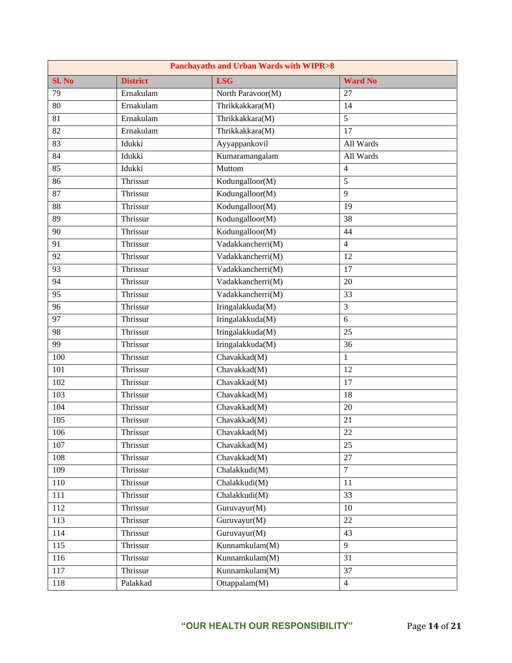| <b>Panchayaths and Urban Wards with WIPR&gt;8</b> |                 |                   |                 |
|---------------------------------------------------|-----------------|-------------------|-----------------|
| Sl. No                                            | <b>District</b> | <b>LSG</b>        | <b>Ward No</b>  |
| $\overline{79}$                                   | Ernakulam       | North Paravoor(M) | 27              |
| 80                                                | Ernakulam       | Thrikkakkara(M)   | 14              |
| 81                                                | Ernakulam       | Thrikkakkara(M)   | $\overline{5}$  |
| 82                                                | Ernakulam       | Thrikkakkara(M)   | 17              |
| 83                                                | Idukki          | Ayyappankovil     | All Wards       |
| 84                                                | Idukki          | Kumaramangalam    | All Wards       |
| 85                                                | Idukki          | Muttom            | $\overline{4}$  |
| 86                                                | Thrissur        | Kodungalloor(M)   | $\sqrt{5}$      |
| 87                                                | Thrissur        | Kodungalloor(M)   | 9               |
| 88                                                | Thrissur        | Kodungalloor(M)   | 19              |
| 89                                                | Thrissur        | Kodungalloor(M)   | 38              |
| 90                                                | Thrissur        | Kodungalloor(M)   | 44              |
| 91                                                | Thrissur        | Vadakkancherri(M) | $\overline{4}$  |
| 92                                                | Thrissur        | Vadakkancherri(M) | 12              |
| $\overline{93}$                                   | Thrissur        | Vadakkancherri(M) | 17              |
| 94                                                | Thrissur        | Vadakkancherri(M) | 20              |
| $\overline{95}$                                   | Thrissur        | Vadakkancherri(M) | $\overline{33}$ |
| 96                                                | Thrissur        | Iringalakkuda(M)  | 3               |
| $\overline{97}$                                   | Thrissur        | Iringalakkuda(M)  | 6               |
| 98                                                | Thrissur        | Iringalakkuda(M)  | 25              |
| $\overline{99}$                                   | Thrissur        | Iringalakkuda(M)  | 36              |
| 100                                               | Thrissur        | Chavakkad(M)      | $\mathbf{1}$    |
| 101                                               | Thrissur        | Chavakkad(M)      | 12              |
| 102                                               | Thrissur        | Chavakkad(M)      | 17              |
| 103                                               | Thrissur        | Chavakkad(M)      | 18              |
| 104                                               | Thrissur        | Chavakkad(M)      | 20              |
| $\overline{105}$                                  | Thrissur        | Chavakkad(M)      | 21              |
| 106                                               | Thrissur        | Chavakkad(M)      | 22              |
| 107                                               | Thrissur        | Chavakkad(M)      | 25              |
| 108                                               | Thrissur        | Chavakkad(M)      | 27              |
| 109                                               | Thrissur        | Chalakkudi(M)     | $\overline{7}$  |
| 110                                               | Thrissur        | Chalakkudi(M)     | 11              |
| 111                                               | Thrissur        | Chalakkudi(M)     | $\overline{33}$ |
| 112                                               | Thrissur        | Guruvayur(M)      | 10              |
| 113                                               | Thrissur        | Guruvayur(M)      | 22              |
| 114                                               | Thrissur        | Guruvayur(M)      | 43              |
| 115                                               | Thrissur        | Kunnamkulam(M)    | 9               |
| 116                                               | Thrissur        | Kunnamkulam(M)    | 31              |
| 117                                               | Thrissur        | Kunnamkulam(M)    | 37              |
| 118                                               | Palakkad        | Ottappalam(M)     | $\overline{4}$  |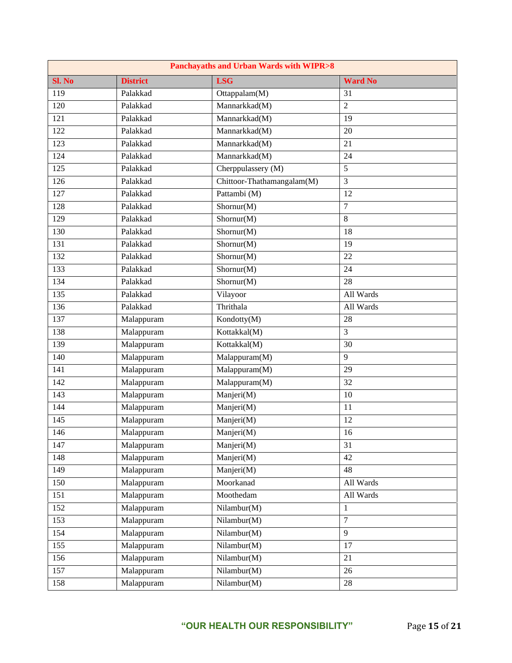| <b>Panchayaths and Urban Wards with WIPR&gt;8</b> |                 |                             |                |  |
|---------------------------------------------------|-----------------|-----------------------------|----------------|--|
| Sl. No                                            | <b>District</b> | <b>LSG</b>                  | <b>Ward No</b> |  |
| 119                                               | Palakkad        | Ottappalam $(\overline{M})$ | 31             |  |
| 120                                               | Palakkad        | Mannarkkad(M)               | $\overline{2}$ |  |
| 121                                               | Palakkad        | Mannarkkad(M)               | 19             |  |
| 122                                               | Palakkad        | Mannarkkad(M)               | 20             |  |
| 123                                               | Palakkad        | Mannarkkad(M)               | 21             |  |
| 124                                               | Palakkad        | Mannarkkad(M)               | 24             |  |
| 125                                               | Palakkad        | Cherppulassery (M)          | $\overline{5}$ |  |
| 126                                               | Palakkad        | Chittoor-Thathamangalam(M)  | 3              |  |
| 127                                               | Palakkad        | Pattambi (M)                | 12             |  |
| 128                                               | Palakkad        | Shornur(M)                  | $\tau$         |  |
| 129                                               | Palakkad        | Shornur(M)                  | 8              |  |
| 130                                               | Palakkad        | Shornur(M)                  | 18             |  |
| 131                                               | Palakkad        | Shornur(M)                  | 19             |  |
| 132                                               | Palakkad        | Shornur(M)                  | 22             |  |
| 133                                               | Palakkad        | Shornur(M)                  | 24             |  |
| 134                                               | Palakkad        | Shornur(M)                  | 28             |  |
| $\overline{135}$                                  | Palakkad        | Vilayoor                    | All Wards      |  |
| 136                                               | Palakkad        | Thrithala                   | All Wards      |  |
| 137                                               | Malappuram      | Kondotty(M)                 | 28             |  |
| 138                                               | Malappuram      | Kottakkal(M)                | 3              |  |
| 139                                               | Malappuram      | Kottakkal(M)                | 30             |  |
| 140                                               | Malappuram      | Malappuram(M)               | 9              |  |
| 141                                               | Malappuram      | Malappuram(M)               | 29             |  |
| 142                                               | Malappuram      | Malappuram(M)               | 32             |  |
| 143                                               | Malappuram      | Manjeri(M)                  | 10             |  |
| 144                                               | Malappuram      | Manjeri(M)                  | 11             |  |
| 145                                               | Malappuram      | Manjeri(M)                  | 12             |  |
| 146                                               | Malappuram      | Manjeri(M)                  | 16             |  |
| 147                                               | Malappuram      | Manjeri(M)                  | 31             |  |
| 148                                               | Malappuram      | Manjeri(M)                  | 42             |  |
| 149                                               | Malappuram      | Manjeri(M)                  | 48             |  |
| 150                                               | Malappuram      | Moorkanad                   | All Wards      |  |
| 151                                               | Malappuram      | Moothedam                   | All Wards      |  |
| 152                                               | Malappuram      | Nilambur(M)                 | $\mathbf{1}$   |  |
| 153                                               | Malappuram      | Nilambur(M)                 | $\overline{7}$ |  |
| 154                                               | Malappuram      | Nilambur(M)                 | 9              |  |
| 155                                               | Malappuram      | Nilambur(M)                 | 17             |  |
| 156                                               | Malappuram      | Nilambur(M)                 | 21             |  |
| 157                                               | Malappuram      | Nilambur(M)                 | 26             |  |
| 158                                               | Malappuram      | Nilambur(M)                 | 28             |  |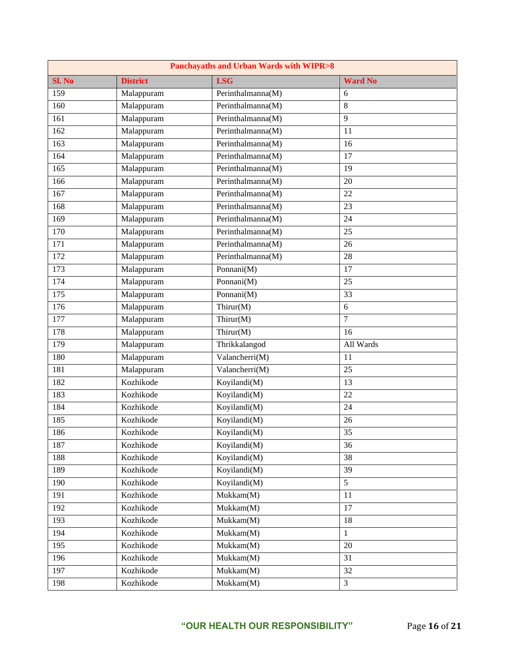| <b>Panchayaths and Urban Wards with WIPR&gt;8</b> |                 |                                             |                 |  |
|---------------------------------------------------|-----------------|---------------------------------------------|-----------------|--|
| Sl. No                                            | <b>District</b> | <b>LSG</b>                                  | <b>Ward No</b>  |  |
| 159                                               | Malappuram      | Perinthalmanna(M)                           | 6               |  |
| 160                                               | Malappuram      | Perinthalmanna(M)                           | 8               |  |
| 161                                               | Malappuram      | Perinthalmanna(M)                           | 9               |  |
| 162                                               | Malappuram      | $\overline{\mathrm{Per}}$ inthalmanna(M)    | 11              |  |
| 163                                               | Malappuram      | Perinthalmanna(M)                           | 16              |  |
| 164                                               | Malappuram      | Perinthalmanna(M)                           | 17              |  |
| 165                                               | Malappuram      | Perinthalmanna(M)                           | 19              |  |
| 166                                               | Malappuram      | $\overline{\mathrm{Per}}$ inthalmanna(M)    | 20              |  |
| 167                                               | Malappuram      | Perinthalmanna(M)                           | 22              |  |
| 168                                               | Malappuram      | Perinthalmanna(M)                           | 23              |  |
| 169                                               | Malappuram      | Perinthalmanna(M)                           | 24              |  |
| 170                                               | Malappuram      | $\overline{\mathrm{Per}}$ inthalmanna(M)    | 25              |  |
| 171                                               | Malappuram      | Perinthalmanna(M)                           | 26              |  |
| 172                                               | Malappuram      | Perinthalmanna(M)                           | 28              |  |
| 173                                               | Malappuram      | Ponnani(M)                                  | 17              |  |
| 174                                               | Malappuram      | Ponnani(M)                                  | 25              |  |
| 175                                               | Malappuram      | Ponnani(M)                                  | $\overline{33}$ |  |
| 176                                               | Malappuram      | Thirur(M)                                   | 6               |  |
| 177                                               | Malappuram      | Thirur( $M$ )                               | $\tau$          |  |
| 178                                               | Malappuram      | Thirur(M)                                   | 16              |  |
| 179                                               | Malappuram      | Thrikkalangod                               | All Wards       |  |
| 180                                               | Malappuram      | Valancherri(M)                              | 11              |  |
| 181                                               | Malappuram      | Valancherri(M)                              | $\overline{25}$ |  |
| 182                                               | Kozhikode       | Koyilandi(M)                                | 13              |  |
| 183                                               | Kozhikode       | Koyilandi(M)                                | 22              |  |
| 184                                               | Kozhikode       | Koyilandi(M)                                | 24              |  |
| 185                                               | Kozhikode       | Koyilandi(M)                                | 26              |  |
| 186                                               | Kozhikode       | $\overline{\mathrm{Koyilandi}(\mathrm{M})}$ | 35              |  |
| 187                                               | Kozhikode       | Koyilandi(M)                                | 36              |  |
| 188                                               | Kozhikode       | Koyilandi(M)                                | 38              |  |
| 189                                               | Kozhikode       | Koyilandi(M)                                | $\overline{39}$ |  |
| 190                                               | Kozhikode       | Koyilandi(M)                                | $\sqrt{5}$      |  |
| 191                                               | Kozhikode       | Mukkam(M)                                   | 11              |  |
| 192                                               | Kozhikode       | Mukkam(M)                                   | 17              |  |
| 193                                               | Kozhikode       | Mukkam(M)                                   | 18              |  |
| 194                                               | Kozhikode       | Mukkam(M)                                   | $\mathbf{1}$    |  |
| 195                                               | Kozhikode       | Mukkam(M)                                   | 20              |  |
| 196                                               | Kozhikode       | Mukkam(M)                                   | 31              |  |
| 197                                               | Kozhikode       | Mukkam(M)                                   | 32              |  |
| 198                                               | Kozhikode       | Mukkam(M)                                   | $\mathfrak{Z}$  |  |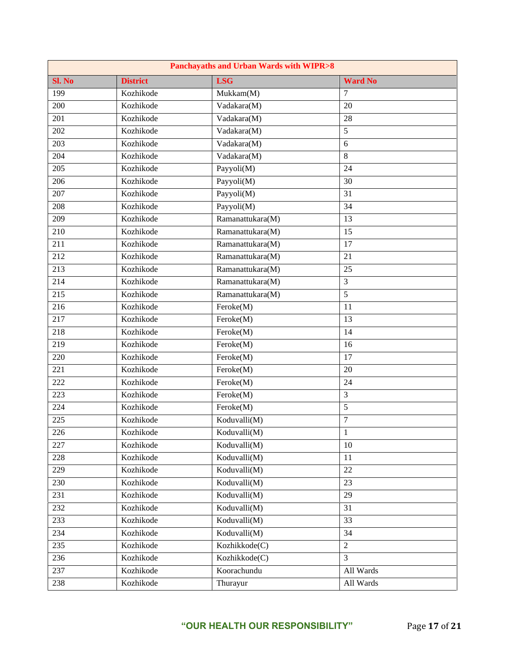| <b>Panchayaths and Urban Wards with WIPR&gt;8</b> |                 |                                  |                  |
|---------------------------------------------------|-----------------|----------------------------------|------------------|
| Sl. No                                            | <b>District</b> | <b>LSG</b>                       | <b>Ward No</b>   |
| 199                                               | Kozhikode       | Mukkam(M)                        | 7                |
| 200                                               | Kozhikode       | Vadakara(M)                      | 20               |
| 201                                               | Kozhikode       | Vadakara(M)                      | 28               |
| 202                                               | Kozhikode       | Vadakara(M)                      | 5                |
| 203                                               | Kozhikode       | Vadakara(M)                      | 6                |
| 204                                               | Kozhikode       | Vadakara(M)                      | 8                |
| 205                                               | Kozhikode       | Payyoli(M)                       | 24               |
| 206                                               | Kozhikode       | Payyoli(M)                       | 30               |
| 207                                               | Kozhikode       | Payyoli(M)                       | 31               |
| 208                                               | Kozhikode       | Payyoli(M)                       | 34               |
| 209                                               | Kozhikode       | Ramanattukara(M)                 | 13               |
| 210                                               | Kozhikode       | Ramanattukara(M)                 | 15               |
| 211                                               | Kozhikode       | Ramanattukara(M)                 | 17               |
| 212                                               | Kozhikode       | Ramanattukara(M)                 | 21               |
| $\overline{213}$                                  | Kozhikode       | Ramanattukara(M)                 | 25               |
| 214                                               | Kozhikode       | Ramanattukara(M)                 | 3                |
| $\overline{215}$                                  | Kozhikode       | Ramanattukara(M)                 | 5                |
| 216                                               | Kozhikode       | Feroke(M)                        | 11               |
| 217                                               | Kozhikode       | Feroke(M)                        | 13               |
| 218                                               | Kozhikode       | Feroke(M)                        | 14               |
| 219                                               | Kozhikode       | Feroke(M)                        | 16               |
| 220                                               | Kozhikode       | Feroke(M)                        | 17               |
| 221                                               | Kozhikode       | Feroke(M)                        | 20               |
| 222                                               | Kozhikode       | Feroke(M)                        | 24               |
| 223                                               | Kozhikode       | Feroke(M)                        | 3                |
| 224                                               | Kozhikode       | Feroke(M)                        | 5                |
| 225                                               | Kozhikode       | Koduvalli(M)                     | $\boldsymbol{7}$ |
| 226                                               | Kozhikode       | $\overline{\text{Koduvalli}}(M)$ | $\mathbf{1}$     |
| 227                                               | Kozhikode       | Koduvalli(M)                     | 10               |
| 228                                               | Kozhikode       | Koduvalli(M)                     | 11               |
| 229                                               | Kozhikode       | Koduvalli(M)                     | 22               |
| 230                                               | Kozhikode       | Koduvalli(M)                     | 23               |
| 231                                               | Kozhikode       | Koduvalli(M)                     | 29               |
| 232                                               | Kozhikode       | Koduvalli(M)                     | 31               |
| 233                                               | Kozhikode       | Koduvalli(M)                     | 33               |
| 234                                               | Kozhikode       | Koduvalli(M)                     | 34               |
| 235                                               | Kozhikode       | Kozhikkode(C)                    | $\overline{c}$   |
| 236                                               | Kozhikode       | Kozhikkode(C)                    | 3                |
| 237                                               | Kozhikode       | Koorachundu                      | All Wards        |
| 238                                               | Kozhikode       | Thurayur                         | All Wards        |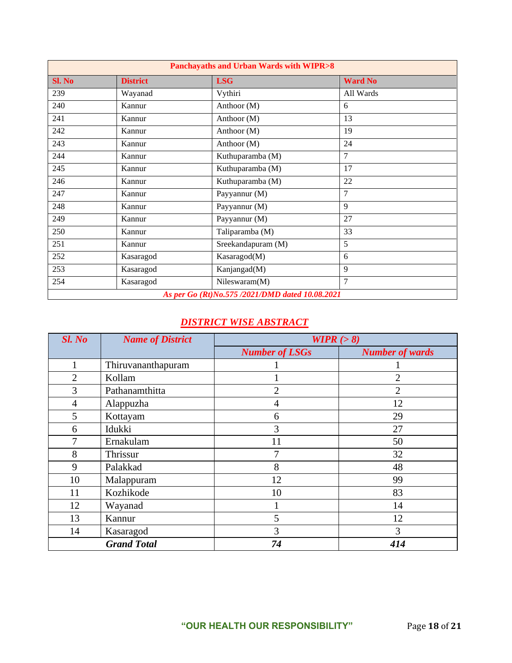| <b>Panchayaths and Urban Wards with WIPR&gt;8</b> |                 |                    |                |
|---------------------------------------------------|-----------------|--------------------|----------------|
| Sl. No                                            | <b>District</b> | <b>LSG</b>         | <b>Ward No</b> |
| 239                                               | Wayanad         | Vythiri            | All Wards      |
| 240                                               | Kannur          | Anthoor (M)        | 6              |
| 241                                               | Kannur          | Anthoor (M)        | 13             |
| 242                                               | Kannur          | Anthoor (M)        | 19             |
| 243                                               | Kannur          | Anthoor (M)        | 24             |
| 244                                               | Kannur          | Kuthuparamba (M)   | $\overline{7}$ |
| 245                                               | Kannur          | Kuthuparamba (M)   | 17             |
| 246                                               | Kannur          | Kuthuparamba (M)   | 22             |
| 247                                               | Kannur          | Payyannur (M)      | $\overline{7}$ |
| 248                                               | Kannur          | Payyannur (M)      | 9              |
| 249                                               | Kannur          | Payyannur (M)      | 27             |
| 250                                               | Kannur          | Taliparamba (M)    | 33             |
| 251                                               | Kannur          | Sreekandapuram (M) | 5              |
| 252                                               | Kasaragod       | Kasaragod(M)       | 6              |
| 253                                               | Kasaragod       | Kanjangad(M)       | 9              |
| 254                                               | Kasaragod       | Nileswaram(M)      | $\overline{7}$ |
| As per Go (Rt)No.575 /2021/DMD dated 10.08.2021   |                 |                    |                |

## *DISTRICT WISE ABSTRACT*

| Sl. No         | <b>Name of District</b> | WIPR $(>8)$           |                        |
|----------------|-------------------------|-----------------------|------------------------|
|                |                         | <b>Number of LSGs</b> | <b>Number of wards</b> |
|                | Thiruvananthapuram      |                       |                        |
| $\overline{2}$ | Kollam                  |                       | $\overline{2}$         |
| 3              | Pathanamthitta          | $\overline{2}$        | $\overline{2}$         |
| $\overline{4}$ | Alappuzha               | 4                     | 12                     |
| 5              | Kottayam                | 6                     | 29                     |
| 6              | Idukki                  | 3                     | 27                     |
| 7              | Ernakulam               | 11                    | 50                     |
| 8              | Thrissur                | 7                     | 32                     |
| 9              | Palakkad                | 8                     | 48                     |
| 10             | Malappuram              | 12                    | 99                     |
| 11             | Kozhikode               | 10                    | 83                     |
| 12             | Wayanad                 |                       | 14                     |
| 13             | Kannur                  | 5                     | 12                     |
| 14             | Kasaragod               | 3                     | 3                      |
|                | <b>Grand Total</b>      | 74                    | 414                    |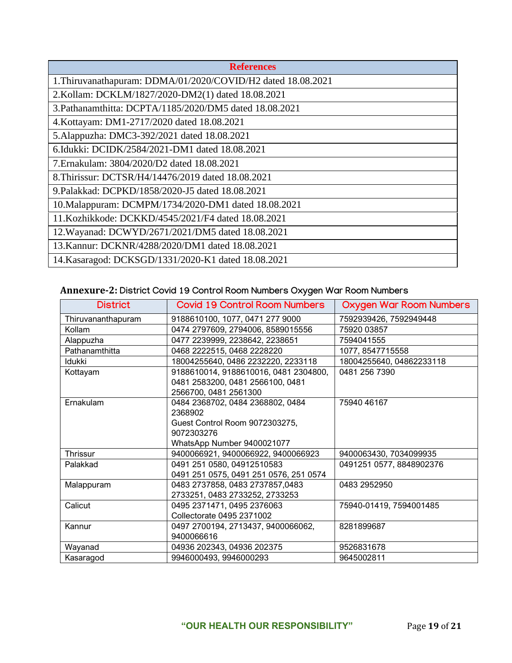| <b>References</b>                                            |
|--------------------------------------------------------------|
| 1. Thiruvanathapuram: DDMA/01/2020/COVID/H2 dated 18.08.2021 |
| 2.Kollam: DCKLM/1827/2020-DM2(1) dated 18.08.2021            |
| 3. Pathanamthitta: DCPTA/1185/2020/DM5 dated 18.08.2021      |
| 4. Kottayam: DM1-2717/2020 dated 18.08.2021                  |
| 5.Alappuzha: DMC3-392/2021 dated 18.08.2021                  |
| 6.Idukki: DCIDK/2584/2021-DM1 dated 18.08.2021               |
| 7. Ernakulam: 3804/2020/D2 dated 18.08.2021                  |
| 8. Thirissur: DCTSR/H4/14476/2019 dated 18.08.2021           |
| 9. Palakkad: DCPKD/1858/2020-J5 dated 18.08.2021             |
| 10. Malappuram: DCMPM/1734/2020-DM1 dated 18.08.2021         |
| 11. Kozhikkode: DCKKD/4545/2021/F4 dated 18.08.2021          |
| 12. Wayanad: DCWYD/2671/2021/DM5 dated 18.08.2021            |
| 13. Kannur: DCKNR/4288/2020/DM1 dated 18.08.2021             |
| 14. Kasaragod: DCKSGD/1331/2020-K1 dated 18.08.2021          |

# **Annexure-2: District Covid 19 Control Room Numbers Oxygen War Room Numbers**

| <b>District</b>    | <b>Covid 19 Control Room Numbers</b>   | <b>Oxygen War Room Numbers</b> |
|--------------------|----------------------------------------|--------------------------------|
| Thiruvananthapuram | 9188610100, 1077, 0471 277 9000        | 7592939426, 7592949448         |
| Kollam             | 0474 2797609, 2794006, 8589015556      | 75920 03857                    |
| Alappuzha          | 0477 2239999, 2238642, 2238651         | 7594041555                     |
| Pathanamthitta     | 0468 2222515, 0468 2228220             | 1077, 8547715558               |
| <b>Idukki</b>      | 18004255640, 0486 2232220, 2233118     | 18004255640, 04862233118       |
| Kottayam           | 9188610014, 9188610016, 0481 2304800,  | 0481 256 7390                  |
|                    | 0481 2583200, 0481 2566100, 0481       |                                |
|                    | 2566700, 0481 2561300                  |                                |
| Ernakulam          | 0484 2368702, 0484 2368802, 0484       | 75940 46167                    |
|                    | 2368902                                |                                |
|                    | Guest Control Room 9072303275,         |                                |
|                    | 9072303276                             |                                |
|                    | WhatsApp Number 9400021077             |                                |
| Thrissur           | 9400066921, 9400066922, 9400066923     | 9400063430, 7034099935         |
| Palakkad           | 0491 251 0580, 04912510583             | 0491251 0577, 8848902376       |
|                    | 0491 251 0575, 0491 251 0576, 251 0574 |                                |
| Malappuram         | 0483 2737858, 0483 2737857,0483        | 0483 2952950                   |
|                    | 2733251, 0483 2733252, 2733253         |                                |
| Calicut            | 0495 2371471, 0495 2376063             | 75940-01419, 7594001485        |
|                    | Collectorate 0495 2371002              |                                |
| Kannur             | 0497 2700194, 2713437, 9400066062,     | 8281899687                     |
|                    | 9400066616                             |                                |
| Wayanad            | 04936 202343, 04936 202375             | 9526831678                     |
| Kasaragod          | 9946000493, 9946000293                 | 9645002811                     |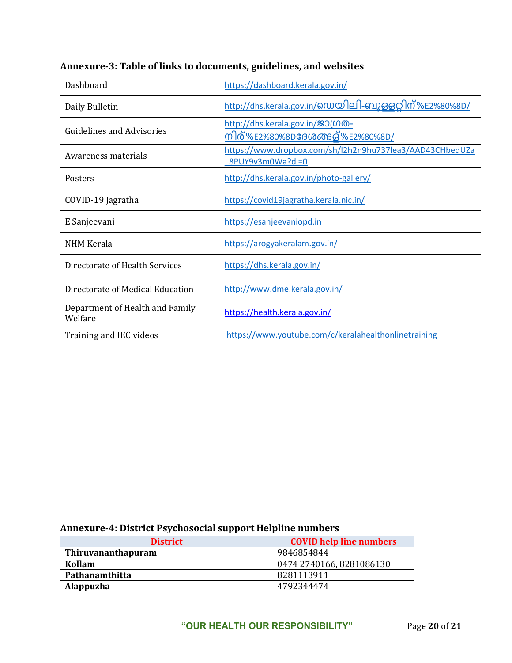| Dashboard                                  | https://dashboard.kerala.gov.in/                                             |
|--------------------------------------------|------------------------------------------------------------------------------|
| Daily Bulletin                             | http://dhs.kerala.gov.in/டையு விடி-வைத்தவு மீ%E2%80%8D/                      |
| <b>Guidelines and Advisories</b>           | http://dhs.kerala.gov.in/201000-<br>നിര്%E2%80%8D <b>ദേശ</b> ങ്ങള്%E2%80%8D/ |
| Awareness materials                        | https://www.dropbox.com/sh/l2h2n9hu737lea3/AAD43CHbedUZa<br>8PUY9v3m0Wa?dl=0 |
| Posters                                    | http://dhs.kerala.gov.in/photo-gallery/                                      |
| COVID-19 Jagratha                          | https://covid19jagratha.kerala.nic.in/                                       |
| E Sanjeevani                               | https://esanjeevaniopd.in                                                    |
| <b>NHM Kerala</b>                          | https://arogyakeralam.gov.in/                                                |
| Directorate of Health Services             | https://dhs.kerala.gov.in/                                                   |
| Directorate of Medical Education           | http://www.dme.kerala.gov.in/                                                |
| Department of Health and Family<br>Welfare | https://health.kerala.gov.in/                                                |
| Training and IEC videos                    | https://www.youtube.com/c/keralahealthonlinetraining                         |

# **Annexure-3: Table of links to documents, guidelines, and websites**

# **Annexure-4: District Psychosocial support Helpline numbers**

| <b>District</b>           | <b>COVID help line numbers</b> |
|---------------------------|--------------------------------|
| <b>Thiruvananthapuram</b> | 9846854844                     |
| Kollam                    | 0474 2740166, 8281086130       |
| Pathanamthitta            | 8281113911                     |
| Alappuzha                 | 4792344474                     |